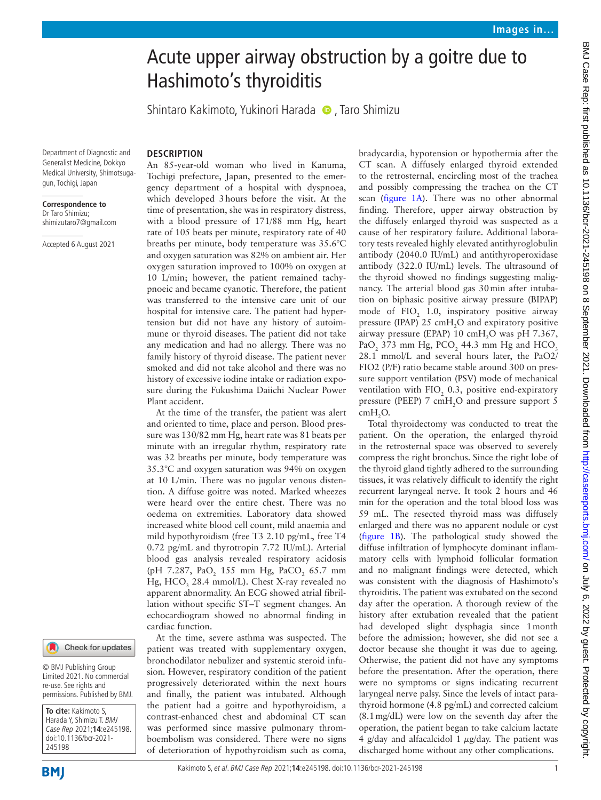# Acute upper airway obstruction by a goitre due to Hashimoto's thyroiditis

ShintaroKakimoto, Yukinori Harada (D, Taro Shimizu

Department of Diagnostic and Generalist Medicine, Dokkyo Medical University, Shimotsugagun, Tochigi, Japan

#### **Correspondence to** Dr Taro Shimizu; shimizutaro7@gmail.com

Accepted 6 August 2021

## **DESCRIPTION**

An 85-year-old woman who lived in Kanuma, Tochigi prefecture, Japan, presented to the emergency department of a hospital with dyspnoea, which developed 3hours before the visit. At the time of presentation, she was in respiratory distress, with a blood pressure of 171/88 mm Hg, heart rate of 105 beats per minute, respiratory rate of 40 breaths per minute, body temperature was 35.6°C and oxygen saturation was 82% on ambient air. Her oxygen saturation improved to 100% on oxygen at 10 L/min; however, the patient remained tachypnoeic and became cyanotic. Therefore, the patient was transferred to the intensive care unit of our hospital for intensive care. The patient had hypertension but did not have any history of autoimmune or thyroid diseases. The patient did not take any medication and had no allergy. There was no family history of thyroid disease. The patient never smoked and did not take alcohol and there was no history of excessive iodine intake or radiation exposure during the Fukushima Daiichi Nuclear Power Plant accident.

At the time of the transfer, the patient was alert and oriented to time, place and person. Blood pressure was 130/82 mm Hg, heart rate was 81 beats per minute with an irregular rhythm, respiratory rate was 32 breaths per minute, body temperature was 35.3°C and oxygen saturation was 94% on oxygen at 10 L/min. There was no jugular venous distention. A diffuse goitre was noted. Marked wheezes were heard over the entire chest. There was no oedema on extremities. Laboratory data showed increased white blood cell count, mild anaemia and mild hypothyroidism (free T3 2.10 pg/mL, free T4 0.72 pg/mL and thyrotropin 7.72 IU/mL). Arterial blood gas analysis revealed respiratory acidosis (pH 7.287,  $PaO_2$  155 mm Hg,  $PaCO_2$  65.7 mm Hg, HCO<sub>3</sub> 28.4 mmol/L). Chest X-ray revealed no apparent abnormality. An ECG showed atrial fibrillation without specific ST–T segment changes. An echocardiogram showed no abnormal finding in cardiac function.

At the time, severe asthma was suspected. The patient was treated with supplementary oxygen, bronchodilator nebulizer and systemic steroid infusion. However, respiratory condition of the patient progressively deteriorated within the next hours and finally, the patient was intubated. Although the patient had a goitre and hypothyroidism, a contrast-enhanced chest and abdominal CT scan was performed since massive pulmonary thromboembolism was considered. There were no signs of deterioration of hypothyroidism such as coma,

bradycardia, hypotension or hypothermia after the CT scan. A diffusely enlarged thyroid extended to the retrosternal, encircling most of the trachea and possibly compressing the trachea on the CT scan [\(figure](#page-1-0) 1A). There was no other abnormal finding. Therefore, upper airway obstruction by the diffusely enlarged thyroid was suspected as a cause of her respiratory failure. Additional laboratory tests revealed highly elevated antithyroglobulin antibody (2040.0 IU/mL) and antithyroperoxidase antibody (322.0 IU/mL) levels. The ultrasound of the thyroid showed no findings suggesting malignancy. The arterial blood gas 30min after intubation on biphasic positive airway pressure (BIPAP) mode of  $FIO<sub>2</sub>$  1.0, inspiratory positive airway pressure (IPAP)  $25 \text{ cm} + 0.04$  and expiratory positive airway pressure (EPAP)  $10 \text{ cm}H_2O$  was pH 7.367, PaO<sub>2</sub> 373 mm Hg, PCO<sub>2</sub> 44.3 mm Hg and HCO<sub>3</sub> 28.1 mmol/L and several hours later, the PaO2/ FIO2 (P/F) ratio became stable around 300 on pressure support ventilation (PSV) mode of mechanical ventilation with  $FIO<sub>2</sub>$  0.3, positive end-expiratory pressure (PEEP)  $7 \text{ cm}H_2O$  and pressure support  $5$  $cmH<sub>2</sub>O$ .

Total thyroidectomy was conducted to treat the patient. On the operation, the enlarged thyroid in the retrosternal space was observed to severely compress the right bronchus. Since the right lobe of the thyroid gland tightly adhered to the surrounding tissues, it was relatively difficult to identify the right recurrent laryngeal nerve. It took 2 hours and 46 min for the operation and the total blood loss was 59 mL. The resected thyroid mass was diffusely enlarged and there was no apparent nodule or cyst ([figure](#page-1-0) 1B). The pathological study showed the diffuse infiltration of lymphocyte dominant inflammatory cells with lymphoid follicular formation and no malignant findings were detected, which was consistent with the diagnosis of Hashimoto's thyroiditis. The patient was extubated on the second day after the operation. A thorough review of the history after extubation revealed that the patient had developed slight dysphagia since 1month before the admission; however, she did not see a doctor because she thought it was due to ageing. Otherwise, the patient did not have any symptoms before the presentation. After the operation, there were no symptoms or signs indicating recurrent laryngeal nerve palsy. Since the levels of intact parathyroid hormone (4.8 pg/mL) and corrected calcium (8.1mg/dL) were low on the seventh day after the operation, the patient began to take calcium lactate 4 g/day and alfacalcidol 1  $\mu$ g/day. The patient was discharged home without any other complications.

## Check for updates

© BMJ Publishing Group Limited 2021. No commercial re-use. See rights and permissions. Published by BMJ.

**To cite:** Kakimoto S, Harada Y, Shimizu T. BMJ Case Rep 2021;**14**:e245198. doi:10.1136/bcr-2021- 245198